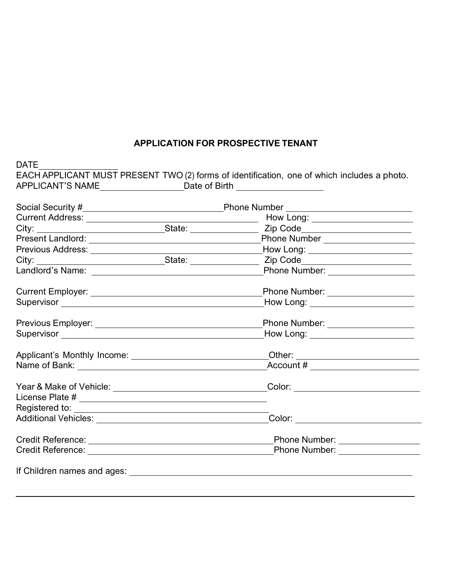## **APPLICATION FOR PROSPECTIVE TENANT**

 $\overline{\phantom{a}}$ 

| APPLICANT'S NAME _________________________________Date of Birth _________________ |  |                                             |  |
|-----------------------------------------------------------------------------------|--|---------------------------------------------|--|
|                                                                                   |  |                                             |  |
|                                                                                   |  |                                             |  |
|                                                                                   |  |                                             |  |
|                                                                                   |  |                                             |  |
|                                                                                   |  | How Long: $\overline{\qquad \qquad }$       |  |
|                                                                                   |  |                                             |  |
|                                                                                   |  | Phone Number: ___________________           |  |
|                                                                                   |  | Phone Number: __________________            |  |
|                                                                                   |  | How Long: <u>__________________________</u> |  |
|                                                                                   |  | Phone Number: __________________            |  |
|                                                                                   |  | How Long: <u>_________________________</u>  |  |
|                                                                                   |  |                                             |  |
|                                                                                   |  |                                             |  |
|                                                                                   |  |                                             |  |
|                                                                                   |  |                                             |  |
|                                                                                   |  |                                             |  |
|                                                                                   |  | _Color: ______________________              |  |
|                                                                                   |  |                                             |  |
|                                                                                   |  |                                             |  |
|                                                                                   |  |                                             |  |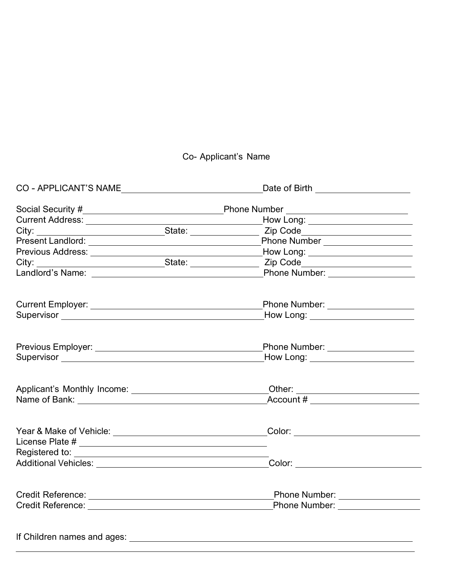## Co- Applicant's Name

| CO - APPLICANT'S NAME                                                                                                                                                                                                          |  | Date of Birth ________________________                                                                    |  |  |
|--------------------------------------------------------------------------------------------------------------------------------------------------------------------------------------------------------------------------------|--|-----------------------------------------------------------------------------------------------------------|--|--|
|                                                                                                                                                                                                                                |  |                                                                                                           |  |  |
|                                                                                                                                                                                                                                |  | How Long: ________________________                                                                        |  |  |
|                                                                                                                                                                                                                                |  |                                                                                                           |  |  |
|                                                                                                                                                                                                                                |  | City: State: State: Zip Code<br>Present Landlord: State: Phone Number<br>Phone Number ___________________ |  |  |
|                                                                                                                                                                                                                                |  |                                                                                                           |  |  |
|                                                                                                                                                                                                                                |  |                                                                                                           |  |  |
|                                                                                                                                                                                                                                |  |                                                                                                           |  |  |
|                                                                                                                                                                                                                                |  |                                                                                                           |  |  |
|                                                                                                                                                                                                                                |  | Phone Number: ____________________                                                                        |  |  |
| Supervisor experience and the set of the set of the set of the set of the set of the set of the set of the set of the set of the set of the set of the set of the set of the set of the set of the set of the set of the set o |  | How Long: ______________________                                                                          |  |  |
|                                                                                                                                                                                                                                |  | Phone Number: ____________________                                                                        |  |  |
| Supervisor Supervisor Supervisor Supervisor Supervisor Supervisor Supervisor Supervisor Supervisor Supervisor Supervisor Supervisor Supervisor Supervisor Supervisor Supervisor Supervisor Supervisor Supervisor Supervisor Su |  | How Long: _______________________                                                                         |  |  |
|                                                                                                                                                                                                                                |  |                                                                                                           |  |  |
|                                                                                                                                                                                                                                |  | Account # _________________________                                                                       |  |  |
|                                                                                                                                                                                                                                |  |                                                                                                           |  |  |
|                                                                                                                                                                                                                                |  |                                                                                                           |  |  |
|                                                                                                                                                                                                                                |  |                                                                                                           |  |  |
|                                                                                                                                                                                                                                |  |                                                                                                           |  |  |
|                                                                                                                                                                                                                                |  | Color: And the Color Section of the Color Section of the Color Section of the Color Section of the Color  |  |  |
|                                                                                                                                                                                                                                |  |                                                                                                           |  |  |
|                                                                                                                                                                                                                                |  |                                                                                                           |  |  |
|                                                                                                                                                                                                                                |  |                                                                                                           |  |  |
|                                                                                                                                                                                                                                |  |                                                                                                           |  |  |